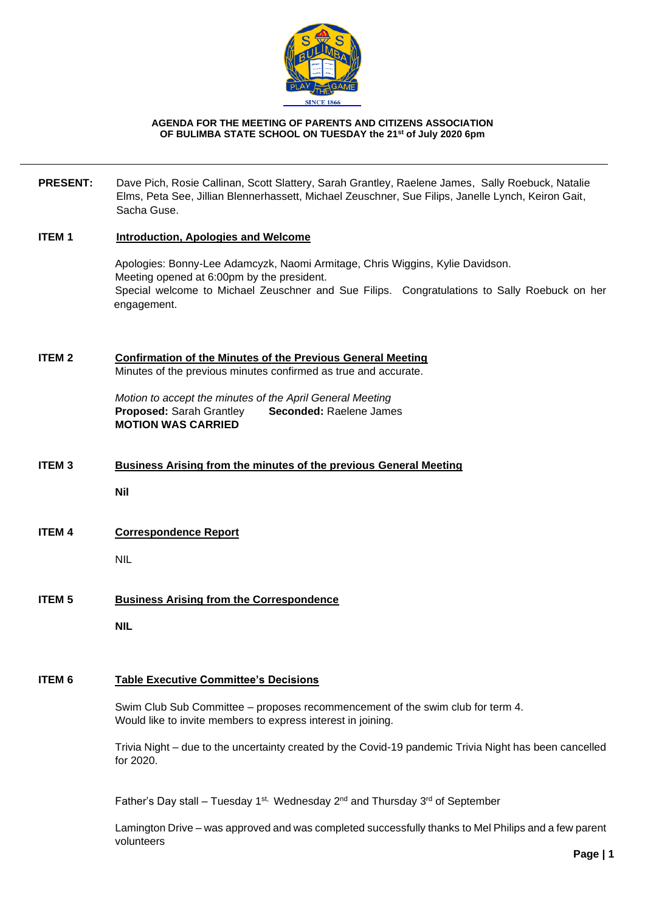

#### **AGENDA FOR THE MEETING OF PARENTS AND CITIZENS ASSOCIATION OF BULIMBA STATE SCHOOL ON TUESDAY the 21st of July 2020 6pm**

**PRESENT:** Dave Pich, Rosie Callinan, Scott Slattery, Sarah Grantley, Raelene James, Sally Roebuck, Natalie Elms, Peta See, Jillian Blennerhassett, Michael Zeuschner, Sue Filips, Janelle Lynch, Keiron Gait, Sacha Guse.

#### **ITEM 1 Introduction, Apologies and Welcome**

Apologies: Bonny-Lee Adamcyzk, Naomi Armitage, Chris Wiggins, Kylie Davidson. Meeting opened at 6:00pm by the president. Special welcome to Michael Zeuschner and Sue Filips. Congratulations to Sally Roebuck on her engagement.

**ITEM 2 Confirmation of the Minutes of the Previous General Meeting** Minutes of the previous minutes confirmed as true and accurate.

> *Motion to accept the minutes of the April General Meeting* **Proposed:** Sarah Grantley **Seconded:** Raelene James **MOTION WAS CARRIED**

**ITEM 3 Business Arising from the minutes of the previous General Meeting**

**Nil**

**ITEM 4 Correspondence Report** 

NIL

**ITEM 5 Business Arising from the Correspondence**

**NIL**

## **ITEM 6 Table Executive Committee's Decisions**

Swim Club Sub Committee – proposes recommencement of the swim club for term 4. Would like to invite members to express interest in joining.

Trivia Night – due to the uncertainty created by the Covid-19 pandemic Trivia Night has been cancelled for 2020.

Father's Day stall – Tuesday 1<sup>st,</sup> Wednesday 2<sup>nd</sup> and Thursday 3<sup>rd</sup> of September

Lamington Drive – was approved and was completed successfully thanks to Mel Philips and a few parent volunteers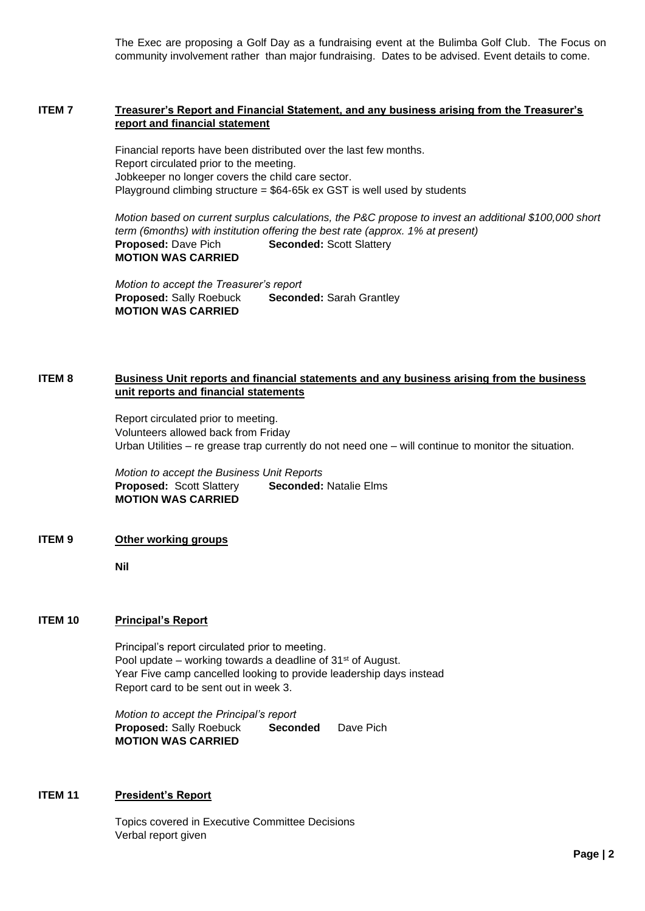The Exec are proposing a Golf Day as a fundraising event at the Bulimba Golf Club. The Focus on community involvement rather than major fundraising. Dates to be advised. Event details to come.

## **ITEM 7 Treasurer's Report and Financial Statement, and any business arising from the Treasurer's report and financial statement**

Financial reports have been distributed over the last few months. Report circulated prior to the meeting. Jobkeeper no longer covers the child care sector. Playground climbing structure = \$64-65k ex GST is well used by students

*Motion based on current surplus calculations, the P&C propose to invest an additional \$100,000 short term (6months) with institution offering the best rate (approx. 1% at present)* **Proposed: Dave Pich <b>Seconded:** Scott Slattery **MOTION WAS CARRIED**

*Motion to accept the Treasurer's report* **Proposed:** Sally Roebuck **Seconded:** Sarah Grantley **MOTION WAS CARRIED**

## **ITEM 8 Business Unit reports and financial statements and any business arising from the business unit reports and financial statements**

Report circulated prior to meeting. Volunteers allowed back from Friday Urban Utilities – re grease trap currently do not need one – will continue to monitor the situation.

*Motion to accept the Business Unit Reports* **Proposed:** Scott Slattery **Seconded:** Natalie Elms **MOTION WAS CARRIED**

### **ITEM 9 Other working groups**

**Nil**

### **ITEM 10 Principal's Report**

Principal's report circulated prior to meeting. Pool update – working towards a deadline of 31<sup>st</sup> of August. Year Five camp cancelled looking to provide leadership days instead Report card to be sent out in week 3.

*Motion to accept the Principal's report* **Proposed:** Sally Roebuck **Seconded** Dave Pich **MOTION WAS CARRIED**

### **ITEM 11 President's Report**

Topics covered in Executive Committee Decisions Verbal report given